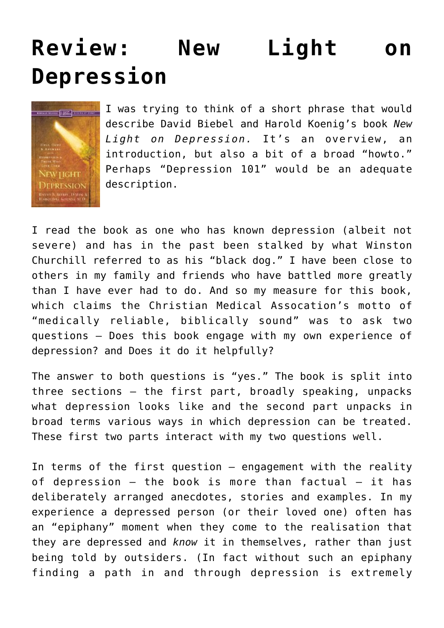## **[Review: New Light on](https://briggs.id.au/jour/2008/05/new-light-on-depression-review/) [Depression](https://briggs.id.au/jour/2008/05/new-light-on-depression-review/)**



I was trying to think of a short phrase that would describe David Biebel and Harold Koenig's book *[New](http://orders.koorong.com/search/details.jhtml?code=0310247292) [Light on Depression.](http://orders.koorong.com/search/details.jhtml?code=0310247292)* It's an overview, an introduction, but also a bit of a broad "howto." Perhaps "Depression 101" would be an adequate description.

I read the book as one who has known depression (albeit not severe) and has in the past been stalked by what Winston Churchill referred to as his "black dog." I have been close to others in my family and friends who have battled more greatly than I have ever had to do. And so my measure for this book, which claims the [Christian Medical Assocation's](http://www.cmda.org/) motto of "medically reliable, biblically sound" was to ask two questions – Does this book engage with my own experience of depression? and Does it do it helpfully?

The answer to both questions is "yes." The book is split into three sections – the first part, broadly speaking, unpacks what depression looks like and the second part unpacks in broad terms various ways in which depression can be treated. These first two parts interact with my two questions well.

In terms of the first question – engagement with the reality of depression  $-$  the book is more than factual  $-$  it has deliberately arranged anecdotes, stories and examples. In my experience a depressed person (or their loved one) often has an "epiphany" moment when they come to the realisation that they are depressed and *know* it in themselves, rather than just being told by outsiders. (In fact without such an epiphany finding a path in and through depression is extremely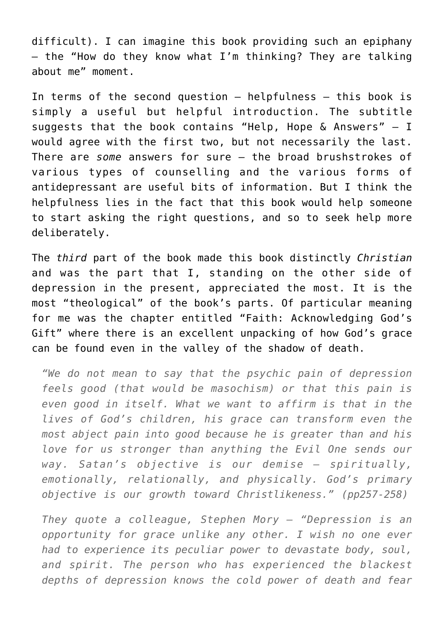difficult). I can imagine this book providing such an epiphany – the "How do they know what I'm thinking? They are talking about me" moment.

In terms of the second question – helpfulness – this book is simply a useful but helpful introduction. The subtitle suggests that the book contains "Help, Hope & Answers" – I would agree with the first two, but not necessarily the last. There are *some* answers for sure – the broad brushstrokes of various types of counselling and the various forms of antidepressant are useful bits of information. But I think the helpfulness lies in the fact that this book would help someone to start asking the right questions, and so to seek help more deliberately.

The *third* part of the book made this book distinctly *Christian* and was the part that I, standing on the other side of depression in the present, appreciated the most. It is the most "theological" of the book's parts. Of particular meaning for me was the chapter entitled "Faith: Acknowledging God's Gift" where there is an excellent unpacking of how God's grace can be found even in the valley of the shadow of death.

*"We do not mean to say that the psychic pain of depression feels good (that would be masochism) or that this pain is even good in itself. What we want to affirm is that in the lives of God's children, his grace can transform even the most abject pain into good because he is greater than and his love for us stronger than anything the Evil One sends our way. Satan's objective is our demise – spiritually, emotionally, relationally, and physically. God's primary objective is our growth toward Christlikeness." (pp257-258)*

*They quote a colleague, Stephen Mory – "Depression is an opportunity for grace unlike any other. I wish no one ever had to experience its peculiar power to devastate body, soul, and spirit. The person who has experienced the blackest depths of depression knows the cold power of death and fear*